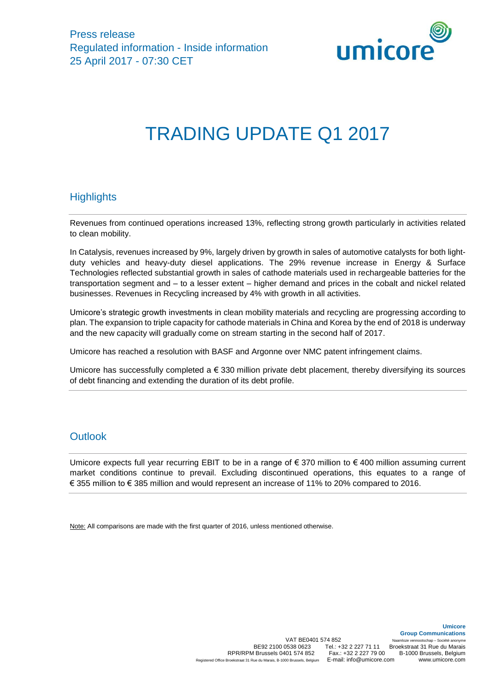

# TRADING UPDATE Q1 2017

## **Highlights**

Revenues from continued operations increased 13%, reflecting strong growth particularly in activities related to clean mobility.

In Catalysis, revenues increased by 9%, largely driven by growth in sales of automotive catalysts for both lightduty vehicles and heavy-duty diesel applications. The 29% revenue increase in Energy & Surface Technologies reflected substantial growth in sales of cathode materials used in rechargeable batteries for the transportation segment and – to a lesser extent – higher demand and prices in the cobalt and nickel related businesses. Revenues in Recycling increased by 4% with growth in all activities.

Umicore's strategic growth investments in clean mobility materials and recycling are progressing according to plan. The expansion to triple capacity for cathode materials in China and Korea by the end of 2018 is underway and the new capacity will gradually come on stream starting in the second half of 2017.

Umicore has reached a resolution with BASF and Argonne over NMC patent infringement claims.

Umicore has successfully completed a € 330 million private debt placement, thereby diversifying its sources of debt financing and extending the duration of its debt profile.

#### **Outlook**

Umicore expects full year recurring EBIT to be in a range of € 370 million to € 400 million assuming current market conditions continue to prevail. Excluding discontinued operations, this equates to a range of € 355 million to € 385 million and would represent an increase of 11% to 20% compared to 2016.

Note: All comparisons are made with the first quarter of 2016, unless mentioned otherwise.

**Umicore**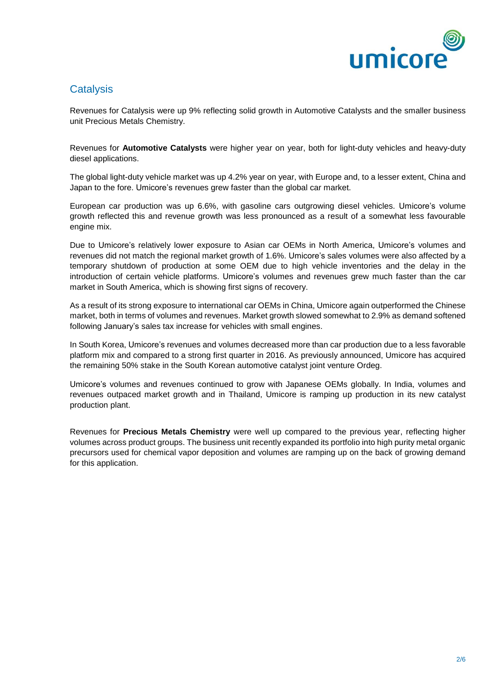

## **Catalysis**

Revenues for Catalysis were up 9% reflecting solid growth in Automotive Catalysts and the smaller business unit Precious Metals Chemistry.

Revenues for **Automotive Catalysts** were higher year on year, both for light-duty vehicles and heavy-duty diesel applications.

The global light-duty vehicle market was up 4.2% year on year, with Europe and, to a lesser extent, China and Japan to the fore. Umicore's revenues grew faster than the global car market.

European car production was up 6.6%, with gasoline cars outgrowing diesel vehicles. Umicore's volume growth reflected this and revenue growth was less pronounced as a result of a somewhat less favourable engine mix.

Due to Umicore's relatively lower exposure to Asian car OEMs in North America, Umicore's volumes and revenues did not match the regional market growth of 1.6%. Umicore's sales volumes were also affected by a temporary shutdown of production at some OEM due to high vehicle inventories and the delay in the introduction of certain vehicle platforms. Umicore's volumes and revenues grew much faster than the car market in South America, which is showing first signs of recovery.

As a result of its strong exposure to international car OEMs in China, Umicore again outperformed the Chinese market, both in terms of volumes and revenues. Market growth slowed somewhat to 2.9% as demand softened following January's sales tax increase for vehicles with small engines.

In South Korea, Umicore's revenues and volumes decreased more than car production due to a less favorable platform mix and compared to a strong first quarter in 2016. As previously announced, Umicore has acquired the remaining 50% stake in the South Korean automotive catalyst joint venture Ordeg.

Umicore's volumes and revenues continued to grow with Japanese OEMs globally. In India, volumes and revenues outpaced market growth and in Thailand, Umicore is ramping up production in its new catalyst production plant.

Revenues for **Precious Metals Chemistry** were well up compared to the previous year, reflecting higher volumes across product groups. The business unit recently expanded its portfolio into high purity metal organic precursors used for chemical vapor deposition and volumes are ramping up on the back of growing demand for this application.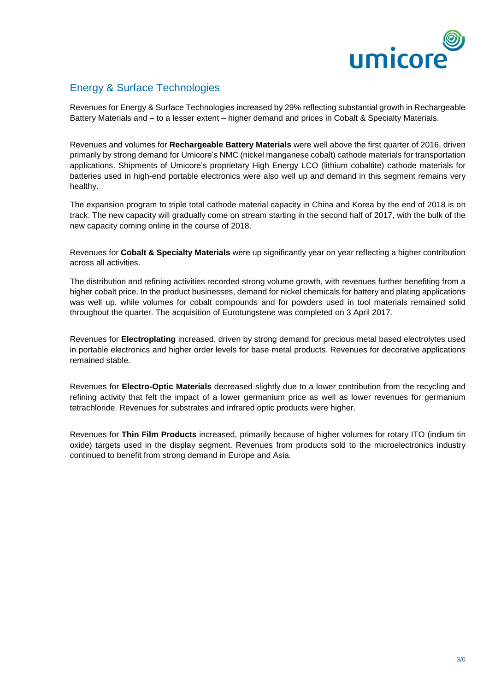

### Energy & Surface Technologies

Revenues for Energy & Surface Technologies increased by 29% reflecting substantial growth in Rechargeable Battery Materials and – to a lesser extent – higher demand and prices in Cobalt & Specialty Materials.

Revenues and volumes for **Rechargeable Battery Materials** were well above the first quarter of 2016, driven primarily by strong demand for Umicore's NMC (nickel manganese cobalt) cathode materials for transportation applications. Shipments of Umicore's proprietary High Energy LCO (lithium cobaltite) cathode materials for batteries used in high-end portable electronics were also well up and demand in this segment remains very healthy.

The expansion program to triple total cathode material capacity in China and Korea by the end of 2018 is on track. The new capacity will gradually come on stream starting in the second half of 2017, with the bulk of the new capacity coming online in the course of 2018.

Revenues for **Cobalt & Specialty Materials** were up significantly year on year reflecting a higher contribution across all activities.

The distribution and refining activities recorded strong volume growth, with revenues further benefiting from a higher cobalt price. In the product businesses, demand for nickel chemicals for battery and plating applications was well up, while volumes for cobalt compounds and for powders used in tool materials remained solid throughout the quarter. The acquisition of Eurotungstene was completed on 3 April 2017*.*

Revenues for **Electroplating** increased, driven by strong demand for precious metal based electrolytes used in portable electronics and higher order levels for base metal products. Revenues for decorative applications remained stable.

Revenues for **Electro-Optic Materials** decreased slightly due to a lower contribution from the recycling and refining activity that felt the impact of a lower germanium price as well as lower revenues for germanium tetrachloride. Revenues for substrates and infrared optic products were higher.

Revenues for **Thin Film Products** increased, primarily because of higher volumes for rotary ITO (indium tin oxide) targets used in the display segment. Revenues from products sold to the microelectronics industry continued to benefit from strong demand in Europe and Asia.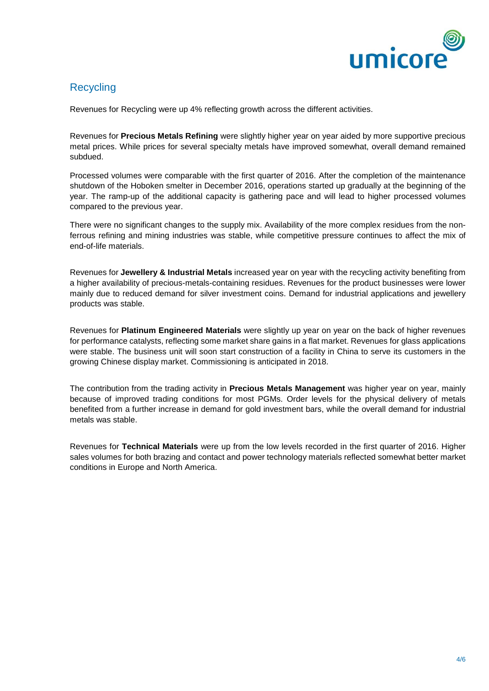

#### **Recycling**

Revenues for Recycling were up 4% reflecting growth across the different activities.

Revenues for **Precious Metals Refining** were slightly higher year on year aided by more supportive precious metal prices. While prices for several specialty metals have improved somewhat, overall demand remained subdued.

Processed volumes were comparable with the first quarter of 2016. After the completion of the maintenance shutdown of the Hoboken smelter in December 2016, operations started up gradually at the beginning of the year. The ramp-up of the additional capacity is gathering pace and will lead to higher processed volumes compared to the previous year.

There were no significant changes to the supply mix. Availability of the more complex residues from the nonferrous refining and mining industries was stable, while competitive pressure continues to affect the mix of end-of-life materials.

Revenues for **Jewellery & Industrial Metals** increased year on year with the recycling activity benefiting from a higher availability of precious-metals-containing residues. Revenues for the product businesses were lower mainly due to reduced demand for silver investment coins. Demand for industrial applications and jewellery products was stable.

Revenues for **Platinum Engineered Materials** were slightly up year on year on the back of higher revenues for performance catalysts, reflecting some market share gains in a flat market. Revenues for glass applications were stable. The business unit will soon start construction of a facility in China to serve its customers in the growing Chinese display market. Commissioning is anticipated in 2018.

The contribution from the trading activity in **Precious Metals Management** was higher year on year, mainly because of improved trading conditions for most PGMs. Order levels for the physical delivery of metals benefited from a further increase in demand for gold investment bars, while the overall demand for industrial metals was stable.

Revenues for **Technical Materials** were up from the low levels recorded in the first quarter of 2016. Higher sales volumes for both brazing and contact and power technology materials reflected somewhat better market conditions in Europe and North America.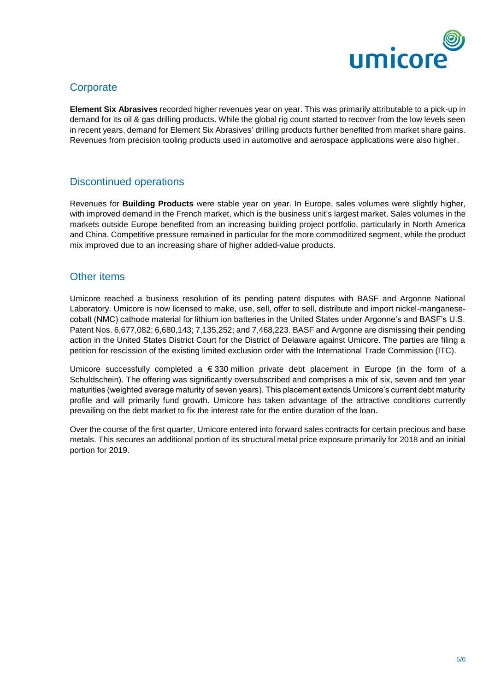

#### **Corporate**

**Element Six Abrasives** recorded higher revenues year on year. This was primarily attributable to a pick-up in demand for its oil & gas drilling products. While the global rig count started to recover from the low levels seen in recent years, demand for Element Six Abrasives' drilling products further benefited from market share gains. Revenues from precision tooling products used in automotive and aerospace applications were also higher.

#### Discontinued operations

Revenues for **Building Products** were stable year on year. In Europe, sales volumes were slightly higher, with improved demand in the French market, which is the business unit's largest market. Sales volumes in the markets outside Europe benefited from an increasing building project portfolio, particularly in North America and China. Competitive pressure remained in particular for the more commoditized segment, while the product mix improved due to an increasing share of higher added-value products.

#### Other items

Umicore reached a business resolution of its pending patent disputes with BASF and Argonne National Laboratory. Umicore is now licensed to make, use, sell, offer to sell, distribute and import nickel-manganesecobalt (NMC) cathode material for lithium ion batteries in the United States under Argonne's and BASF's U.S. Patent Nos. 6,677,082; 6,680,143; 7,135,252; and 7,468,223. BASF and Argonne are dismissing their pending action in the United States District Court for the District of Delaware against Umicore. The parties are filing a petition for rescission of the existing limited exclusion order with the International Trade Commission (ITC).

Umicore successfully completed a € 330 million private debt placement in Europe (in the form of a Schuldschein). The offering was significantly oversubscribed and comprises a mix of six, seven and ten year maturities (weighted average maturity of seven years). This placement extends Umicore's current debt maturity profile and will primarily fund growth. Umicore has taken advantage of the attractive conditions currently prevailing on the debt market to fix the interest rate for the entire duration of the loan.

Over the course of the first quarter, Umicore entered into forward sales contracts for certain precious and base metals. This secures an additional portion of its structural metal price exposure primarily for 2018 and an initial portion for 2019.